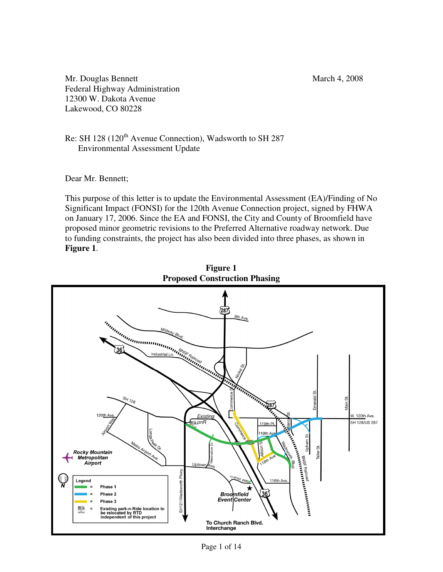Mr. Douglas Bennett March 4, 2008 Federal Highway Administration 12300 W. Dakota Avenue Lakewood, CO 80228

Re: SH 128 (120<sup>th</sup> Avenue Connection), Wadsworth to SH 287 Environmental Assessment Update

Dear Mr. Bennett;

This purpose of this letter is to update the Environmental Assessment (EA)/Finding of No Significant Impact (FONSI) for the 120th Avenue Connection project, signed by FHWA on January 17, 2006. Since the EA and FONSI, the City and County of Broomfield have proposed minor geometric revisions to the Preferred Alternative roadway network. Due to funding constraints, the project has also been divided into three phases, as shown in **Figure 1**.



**Figure 1 Proposed Construction Phasing**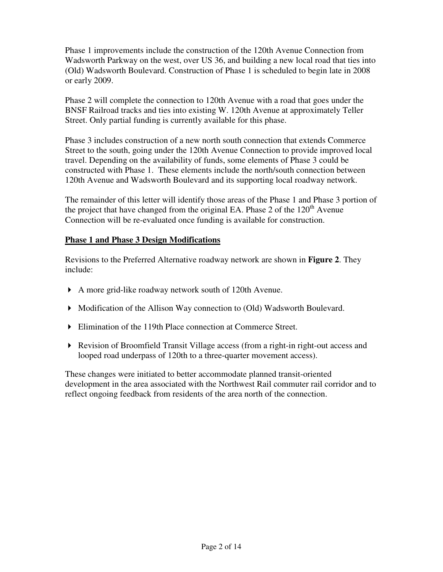Phase 1 improvements include the construction of the 120th Avenue Connection from Wadsworth Parkway on the west, over US 36, and building a new local road that ties into (Old) Wadsworth Boulevard. Construction of Phase 1 is scheduled to begin late in 2008 or early 2009.

Phase 2 will complete the connection to 120th Avenue with a road that goes under the BNSF Railroad tracks and ties into existing W. 120th Avenue at approximately Teller Street. Only partial funding is currently available for this phase.

Phase 3 includes construction of a new north south connection that extends Commerce Street to the south, going under the 120th Avenue Connection to provide improved local travel. Depending on the availability of funds, some elements of Phase 3 could be constructed with Phase 1. These elements include the north/south connection between 120th Avenue and Wadsworth Boulevard and its supporting local roadway network.

The remainder of this letter will identify those areas of the Phase 1 and Phase 3 portion of the project that have changed from the original EA. Phase 2 of the  $120<sup>th</sup>$  Avenue Connection will be re-evaluated once funding is available for construction.

## **Phase 1 and Phase 3 Design Modifications**

Revisions to the Preferred Alternative roadway network are shown in **Figure 2**. They include:

- A more grid-like roadway network south of 120th Avenue.
- Modification of the Allison Way connection to (Old) Wadsworth Boulevard.
- Elimination of the 119th Place connection at Commerce Street.
- Revision of Broomfield Transit Village access (from a right-in right-out access and looped road underpass of 120th to a three-quarter movement access).

These changes were initiated to better accommodate planned transit-oriented development in the area associated with the Northwest Rail commuter rail corridor and to reflect ongoing feedback from residents of the area north of the connection.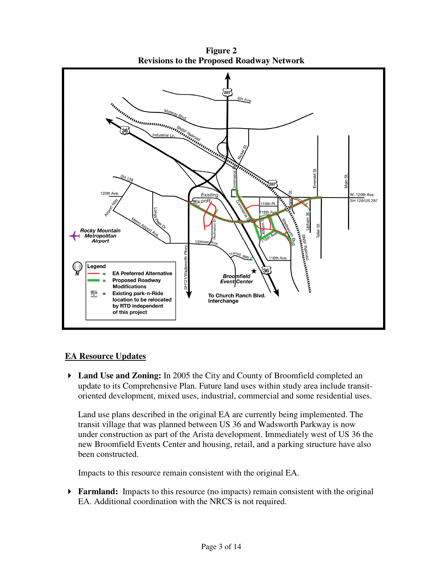

**Figure 2 Revisions to the Proposed Roadway Network** 

## **EA Resource Updates**

 **Land Use and Zoning:** In 2005 the City and County of Broomfield completed an update to its Comprehensive Plan. Future land uses within study area include transitoriented development, mixed uses, industrial, commercial and some residential uses.

Land use plans described in the original EA are currently being implemented. The transit village that was planned between US 36 and Wadsworth Parkway is now under construction as part of the Arista development. Immediately west of US 36 the new Broomfield Events Center and housing, retail, and a parking structure have also been constructed.

Impacts to this resource remain consistent with the original EA.

**Farmland:** Impacts to this resource (no impacts) remain consistent with the original EA. Additional coordination with the NRCS is not required.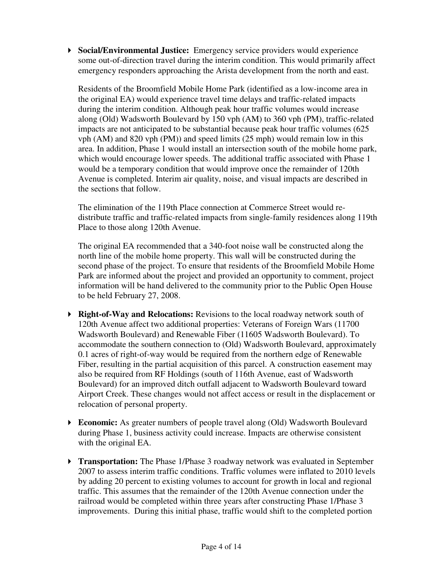**Social/Environmental Justice:** Emergency service providers would experience some out-of-direction travel during the interim condition. This would primarily affect emergency responders approaching the Arista development from the north and east.

Residents of the Broomfield Mobile Home Park (identified as a low-income area in the original EA) would experience travel time delays and traffic-related impacts during the interim condition. Although peak hour traffic volumes would increase along (Old) Wadsworth Boulevard by 150 vph (AM) to 360 vph (PM), traffic-related impacts are not anticipated to be substantial because peak hour traffic volumes (625 vph (AM) and 820 vph (PM)) and speed limits (25 mph) would remain low in this area. In addition, Phase 1 would install an intersection south of the mobile home park, which would encourage lower speeds. The additional traffic associated with Phase 1 would be a temporary condition that would improve once the remainder of 120th Avenue is completed. Interim air quality, noise, and visual impacts are described in the sections that follow.

The elimination of the 119th Place connection at Commerce Street would redistribute traffic and traffic-related impacts from single-family residences along 119th Place to those along 120th Avenue.

The original EA recommended that a 340-foot noise wall be constructed along the north line of the mobile home property. This wall will be constructed during the second phase of the project. To ensure that residents of the Broomfield Mobile Home Park are informed about the project and provided an opportunity to comment, project information will be hand delivered to the community prior to the Public Open House to be held February 27, 2008.

- **Right-of-Way and Relocations:** Revisions to the local roadway network south of 120th Avenue affect two additional properties: Veterans of Foreign Wars (11700 Wadsworth Boulevard) and Renewable Fiber (11605 Wadsworth Boulevard). To accommodate the southern connection to (Old) Wadsworth Boulevard, approximately 0.1 acres of right-of-way would be required from the northern edge of Renewable Fiber, resulting in the partial acquisition of this parcel. A construction easement may also be required from RF Holdings (south of 116th Avenue, east of Wadsworth Boulevard) for an improved ditch outfall adjacent to Wadsworth Boulevard toward Airport Creek. These changes would not affect access or result in the displacement or relocation of personal property.
- **Economic:** As greater numbers of people travel along (Old) Wadsworth Boulevard during Phase 1, business activity could increase. Impacts are otherwise consistent with the original EA.
- **Transportation:** The Phase 1/Phase 3 roadway network was evaluated in September 2007 to assess interim traffic conditions. Traffic volumes were inflated to 2010 levels by adding 20 percent to existing volumes to account for growth in local and regional traffic. This assumes that the remainder of the 120th Avenue connection under the railroad would be completed within three years after constructing Phase 1/Phase 3 improvements. During this initial phase, traffic would shift to the completed portion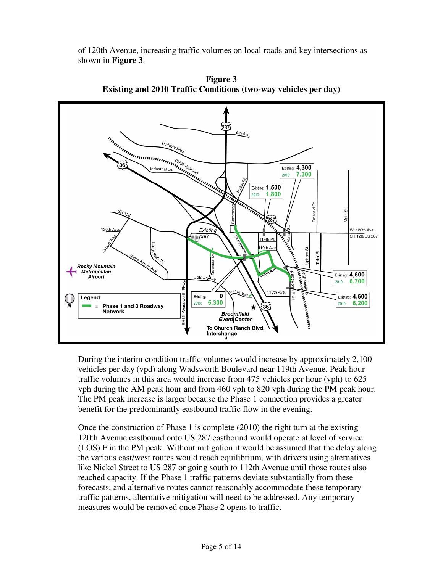of 120th Avenue, increasing traffic volumes on local roads and key intersections as shown in **Figure 3**.



**Figure 3 Existing and 2010 Traffic Conditions (two-way vehicles per day)** 

During the interim condition traffic volumes would increase by approximately 2,100 vehicles per day (vpd) along Wadsworth Boulevard near 119th Avenue. Peak hour traffic volumes in this area would increase from 475 vehicles per hour (vph) to 625 vph during the AM peak hour and from 460 vph to 820 vph during the PM peak hour. The PM peak increase is larger because the Phase 1 connection provides a greater benefit for the predominantly eastbound traffic flow in the evening.

Once the construction of Phase 1 is complete (2010) the right turn at the existing 120th Avenue eastbound onto US 287 eastbound would operate at level of service (LOS) F in the PM peak. Without mitigation it would be assumed that the delay along the various east/west routes would reach equilibrium, with drivers using alternatives like Nickel Street to US 287 or going south to 112th Avenue until those routes also reached capacity. If the Phase 1 traffic patterns deviate substantially from these forecasts, and alternative routes cannot reasonably accommodate these temporary traffic patterns, alternative mitigation will need to be addressed. Any temporary measures would be removed once Phase 2 opens to traffic.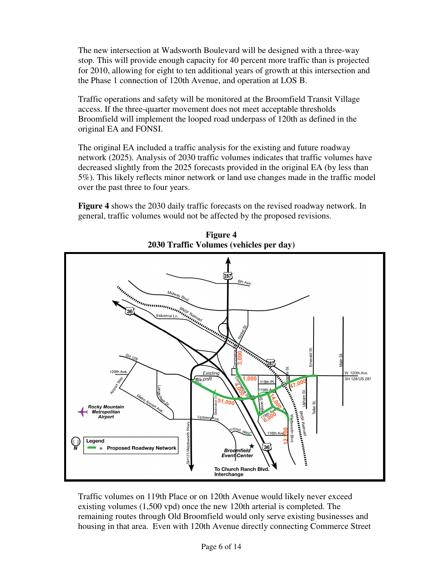The new intersection at Wadsworth Boulevard will be designed with a three-way stop. This will provide enough capacity for 40 percent more traffic than is projected for 2010, allowing for eight to ten additional years of growth at this intersection and the Phase 1 connection of 120th Avenue, and operation at LOS B.

Traffic operations and safety will be monitored at the Broomfield Transit Village access. If the three-quarter movement does not meet acceptable thresholds Broomfield will implement the looped road underpass of 120th as defined in the original EA and FONSI.

The original EA included a traffic analysis for the existing and future roadway network (2025). Analysis of 2030 traffic volumes indicates that traffic volumes have decreased slightly from the 2025 forecasts provided in the original EA (by less than 5%). This likely reflects minor network or land use changes made in the traffic model over the past three to four years.

**Figure 4** shows the 2030 daily traffic forecasts on the revised roadway network. In general, traffic volumes would not be affected by the proposed revisions.



**Figure 4 2030 Traffic Volumes (vehicles per day)** 

Traffic volumes on 119th Place or on 120th Avenue would likely never exceed existing volumes (1,500 vpd) once the new 120th arterial is completed. The remaining routes through Old Broomfield would only serve existing businesses and housing in that area. Even with 120th Avenue directly connecting Commerce Street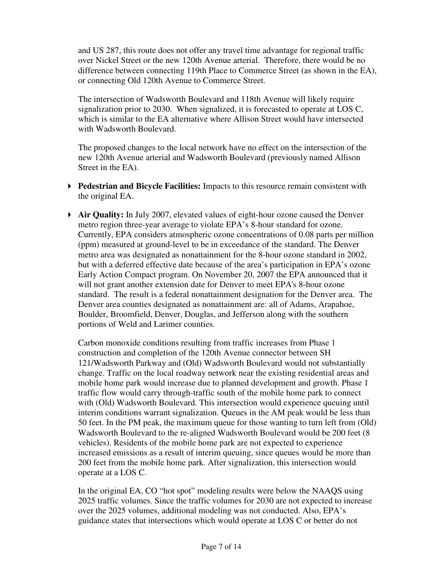and US 287, this route does not offer any travel time advantage for regional traffic over Nickel Street or the new 120th Avenue arterial. Therefore, there would be no difference between connecting 119th Place to Commerce Street (as shown in the EA), or connecting Old 120th Avenue to Commerce Street.

The intersection of Wadsworth Boulevard and 118th Avenue will likely require signalization prior to 2030. When signalized, it is forecasted to operate at LOS C, which is similar to the EA alternative where Allison Street would have intersected with Wadsworth Boulevard.

The proposed changes to the local network have no effect on the intersection of the new 120th Avenue arterial and Wadsworth Boulevard (previously named Allison Street in the EA).

- **Pedestrian and Bicycle Facilities:** Impacts to this resource remain consistent with the original EA.
- **Air Quality:** In July 2007, elevated values of eight-hour ozone caused the Denver metro region three-year average to violate EPA's 8-hour standard for ozone. Currently, EPA considers atmospheric ozone concentrations of 0.08 parts per million (ppm) measured at ground-level to be in exceedance of the standard. The Denver metro area was designated as nonattainment for the 8-hour ozone standard in 2002, but with a deferred effective date because of the area's participation in EPA's ozone Early Action Compact program. On November 20, 2007 the EPA announced that it will not grant another extension date for Denver to meet EPA's 8-hour ozone standard. The result is a federal nonattainment designation for the Denver area. The Denver area counties designated as nonattainment are: all of Adams, Arapahoe, Boulder, Broomfield, Denver, Douglas, and Jefferson along with the southern portions of Weld and Larimer counties.

Carbon monoxide conditions resulting from traffic increases from Phase 1 construction and completion of the 120th Avenue connector between SH 121/Wadsworth Parkway and (Old) Wadsworth Boulevard would not substantially change. Traffic on the local roadway network near the existing residential areas and mobile home park would increase due to planned development and growth. Phase 1 traffic flow would carry through-traffic south of the mobile home park to connect with (Old) Wadsworth Boulevard. This intersection would experience queuing until interim conditions warrant signalization. Queues in the AM peak would be less than 50 feet. In the PM peak, the maximum queue for those wanting to turn left from (Old) Wadsworth Boulevard to the re-aligned Wadsworth Boulevard would be 200 feet (8 vehicles). Residents of the mobile home park are not expected to experience increased emissions as a result of interim queuing, since queues would be more than 200 feet from the mobile home park. After signalization, this intersection would operate at a LOS C.

In the original EA, CO "hot spot" modeling results were below the NAAQS using 2025 traffic volumes. Since the traffic volumes for 2030 are not expected to increase over the 2025 volumes, additional modeling was not conducted. Also, EPA's guidance states that intersections which would operate at LOS C or better do not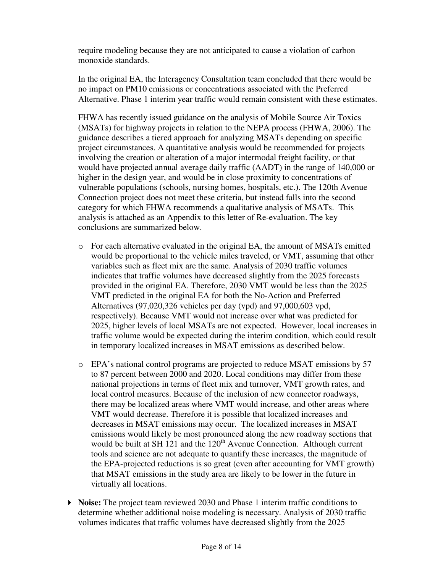require modeling because they are not anticipated to cause a violation of carbon monoxide standards.

In the original EA, the Interagency Consultation team concluded that there would be no impact on PM10 emissions or concentrations associated with the Preferred Alternative. Phase 1 interim year traffic would remain consistent with these estimates.

FHWA has recently issued guidance on the analysis of Mobile Source Air Toxics (MSATs) for highway projects in relation to the NEPA process (FHWA, 2006). The guidance describes a tiered approach for analyzing MSATs depending on specific project circumstances. A quantitative analysis would be recommended for projects involving the creation or alteration of a major intermodal freight facility, or that would have projected annual average daily traffic (AADT) in the range of 140,000 or higher in the design year, and would be in close proximity to concentrations of vulnerable populations (schools, nursing homes, hospitals, etc.). The 120th Avenue Connection project does not meet these criteria, but instead falls into the second category for which FHWA recommends a qualitative analysis of MSATs. This analysis is attached as an Appendix to this letter of Re-evaluation. The key conclusions are summarized below.

- o For each alternative evaluated in the original EA, the amount of MSATs emitted would be proportional to the vehicle miles traveled, or VMT, assuming that other variables such as fleet mix are the same. Analysis of 2030 traffic volumes indicates that traffic volumes have decreased slightly from the 2025 forecasts provided in the original EA. Therefore, 2030 VMT would be less than the 2025 VMT predicted in the original EA for both the No-Action and Preferred Alternatives (97,020,326 vehicles per day (vpd) and 97,000,603 vpd, respectively). Because VMT would not increase over what was predicted for 2025, higher levels of local MSATs are not expected. However, local increases in traffic volume would be expected during the interim condition, which could result in temporary localized increases in MSAT emissions as described below.
- o EPA's national control programs are projected to reduce MSAT emissions by 57 to 87 percent between 2000 and 2020. Local conditions may differ from these national projections in terms of fleet mix and turnover, VMT growth rates, and local control measures. Because of the inclusion of new connector roadways, there may be localized areas where VMT would increase, and other areas where VMT would decrease. Therefore it is possible that localized increases and decreases in MSAT emissions may occur. The localized increases in MSAT emissions would likely be most pronounced along the new roadway sections that would be built at SH 121 and the  $120<sup>th</sup>$  Avenue Connection. Although current tools and science are not adequate to quantify these increases, the magnitude of the EPA-projected reductions is so great (even after accounting for VMT growth) that MSAT emissions in the study area are likely to be lower in the future in virtually all locations.
- **Noise:** The project team reviewed 2030 and Phase 1 interim traffic conditions to determine whether additional noise modeling is necessary. Analysis of 2030 traffic volumes indicates that traffic volumes have decreased slightly from the 2025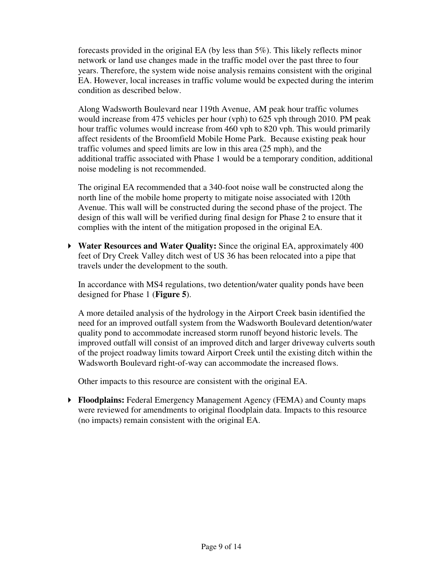forecasts provided in the original EA (by less than 5%). This likely reflects minor network or land use changes made in the traffic model over the past three to four years. Therefore, the system wide noise analysis remains consistent with the original EA. However, local increases in traffic volume would be expected during the interim condition as described below.

Along Wadsworth Boulevard near 119th Avenue, AM peak hour traffic volumes would increase from 475 vehicles per hour (vph) to 625 vph through 2010. PM peak hour traffic volumes would increase from 460 vph to 820 vph. This would primarily affect residents of the Broomfield Mobile Home Park. Because existing peak hour traffic volumes and speed limits are low in this area (25 mph), and the additional traffic associated with Phase 1 would be a temporary condition, additional noise modeling is not recommended.

The original EA recommended that a 340-foot noise wall be constructed along the north line of the mobile home property to mitigate noise associated with 120th Avenue. This wall will be constructed during the second phase of the project. The design of this wall will be verified during final design for Phase 2 to ensure that it complies with the intent of the mitigation proposed in the original EA.

 **Water Resources and Water Quality:** Since the original EA, approximately 400 feet of Dry Creek Valley ditch west of US 36 has been relocated into a pipe that travels under the development to the south.

In accordance with MS4 regulations, two detention/water quality ponds have been designed for Phase 1 (**Figure 5**).

A more detailed analysis of the hydrology in the Airport Creek basin identified the need for an improved outfall system from the Wadsworth Boulevard detention/water quality pond to accommodate increased storm runoff beyond historic levels. The improved outfall will consist of an improved ditch and larger driveway culverts south of the project roadway limits toward Airport Creek until the existing ditch within the Wadsworth Boulevard right-of-way can accommodate the increased flows.

Other impacts to this resource are consistent with the original EA.

 **Floodplains:** Federal Emergency Management Agency (FEMA) and County maps were reviewed for amendments to original floodplain data. Impacts to this resource (no impacts) remain consistent with the original EA.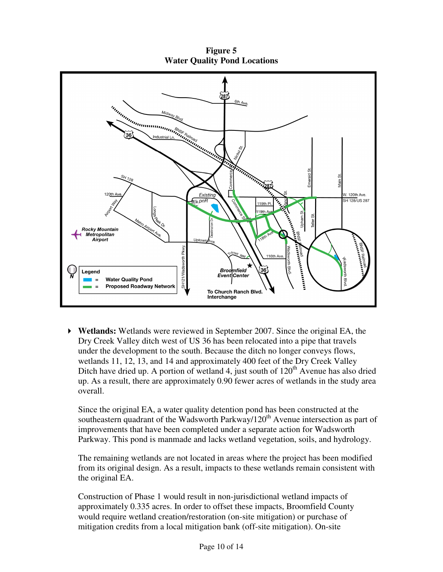**Figure 5 Water Quality Pond Locations**



 **Wetlands:** Wetlands were reviewed in September 2007. Since the original EA, the Dry Creek Valley ditch west of US 36 has been relocated into a pipe that travels under the development to the south. Because the ditch no longer conveys flows, wetlands 11, 12, 13, and 14 and approximately 400 feet of the Dry Creek Valley Ditch have dried up. A portion of wetland 4, just south of  $120<sup>th</sup>$  Avenue has also dried up. As a result, there are approximately 0.90 fewer acres of wetlands in the study area overall.

Since the original EA, a water quality detention pond has been constructed at the southeastern quadrant of the Wadsworth Parkway/120<sup>th</sup> Avenue intersection as part of improvements that have been completed under a separate action for Wadsworth Parkway. This pond is manmade and lacks wetland vegetation, soils, and hydrology.

The remaining wetlands are not located in areas where the project has been modified from its original design. As a result, impacts to these wetlands remain consistent with the original EA.

Construction of Phase 1 would result in non-jurisdictional wetland impacts of approximately 0.335 acres. In order to offset these impacts, Broomfield County would require wetland creation/restoration (on-site mitigation) or purchase of mitigation credits from a local mitigation bank (off-site mitigation). On-site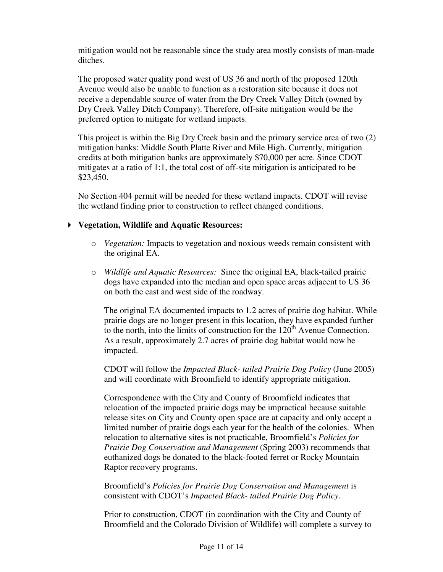mitigation would not be reasonable since the study area mostly consists of man-made ditches.

The proposed water quality pond west of US 36 and north of the proposed 120th Avenue would also be unable to function as a restoration site because it does not receive a dependable source of water from the Dry Creek Valley Ditch (owned by Dry Creek Valley Ditch Company). Therefore, off-site mitigation would be the preferred option to mitigate for wetland impacts.

This project is within the Big Dry Creek basin and the primary service area of two (2) mitigation banks: Middle South Platte River and Mile High. Currently, mitigation credits at both mitigation banks are approximately \$70,000 per acre. Since CDOT mitigates at a ratio of 1:1, the total cost of off-site mitigation is anticipated to be \$23,450.

No Section 404 permit will be needed for these wetland impacts. CDOT will revise the wetland finding prior to construction to reflect changed conditions.

## **Vegetation, Wildlife and Aquatic Resources:**

- o *Vegetation:* Impacts to vegetation and noxious weeds remain consistent with the original EA.
- o *Wildlife and Aquatic Resources:* Since the original EA, black-tailed prairie dogs have expanded into the median and open space areas adjacent to US 36 on both the east and west side of the roadway.

The original EA documented impacts to 1.2 acres of prairie dog habitat. While prairie dogs are no longer present in this location, they have expanded further to the north, into the limits of construction for the  $120<sup>th</sup>$  Avenue Connection. As a result, approximately 2.7 acres of prairie dog habitat would now be impacted.

CDOT will follow the *Impacted Black- tailed Prairie Dog Policy* (June 2005) and will coordinate with Broomfield to identify appropriate mitigation.

Correspondence with the City and County of Broomfield indicates that relocation of the impacted prairie dogs may be impractical because suitable release sites on City and County open space are at capacity and only accept a limited number of prairie dogs each year for the health of the colonies. When relocation to alternative sites is not practicable, Broomfield's *Policies for Prairie Dog Conservation and Management* (Spring 2003) recommends that euthanized dogs be donated to the black-footed ferret or Rocky Mountain Raptor recovery programs.

Broomfield's *Policies for Prairie Dog Conservation and Management* is consistent with CDOT's *Impacted Black- tailed Prairie Dog Policy*.

Prior to construction, CDOT (in coordination with the City and County of Broomfield and the Colorado Division of Wildlife) will complete a survey to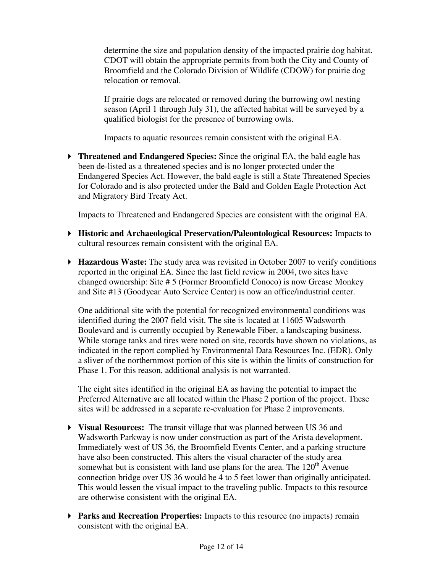determine the size and population density of the impacted prairie dog habitat. CDOT will obtain the appropriate permits from both the City and County of Broomfield and the Colorado Division of Wildlife (CDOW) for prairie dog relocation or removal.

If prairie dogs are relocated or removed during the burrowing owl nesting season (April 1 through July 31), the affected habitat will be surveyed by a qualified biologist for the presence of burrowing owls.

Impacts to aquatic resources remain consistent with the original EA.

 **Threatened and Endangered Species:** Since the original EA, the bald eagle has been de-listed as a threatened species and is no longer protected under the Endangered Species Act. However, the bald eagle is still a State Threatened Species for Colorado and is also protected under the Bald and Golden Eagle Protection Act and Migratory Bird Treaty Act.

Impacts to Threatened and Endangered Species are consistent with the original EA.

- **Historic and Archaeological Preservation/Paleontological Resources:** Impacts to cultural resources remain consistent with the original EA.
- **Hazardous Waste:** The study area was revisited in October 2007 to verify conditions reported in the original EA. Since the last field review in 2004, two sites have changed ownership: Site # 5 (Former Broomfield Conoco) is now Grease Monkey and Site #13 (Goodyear Auto Service Center) is now an office/industrial center.

One additional site with the potential for recognized environmental conditions was identified during the 2007 field visit. The site is located at 11605 Wadsworth Boulevard and is currently occupied by Renewable Fiber, a landscaping business. While storage tanks and tires were noted on site, records have shown no violations, as indicated in the report complied by Environmental Data Resources Inc. (EDR). Only a sliver of the northernmost portion of this site is within the limits of construction for Phase 1. For this reason, additional analysis is not warranted.

The eight sites identified in the original EA as having the potential to impact the Preferred Alternative are all located within the Phase 2 portion of the project. These sites will be addressed in a separate re-evaluation for Phase 2 improvements.

- **Visual Resources:** The transit village that was planned between US 36 and Wadsworth Parkway is now under construction as part of the Arista development. Immediately west of US 36, the Broomfield Events Center, and a parking structure have also been constructed. This alters the visual character of the study area somewhat but is consistent with land use plans for the area. The  $120<sup>th</sup>$  Avenue connection bridge over US 36 would be 4 to 5 feet lower than originally anticipated. This would lessen the visual impact to the traveling public. Impacts to this resource are otherwise consistent with the original EA.
- **Parks and Recreation Properties:** Impacts to this resource (no impacts) remain consistent with the original EA.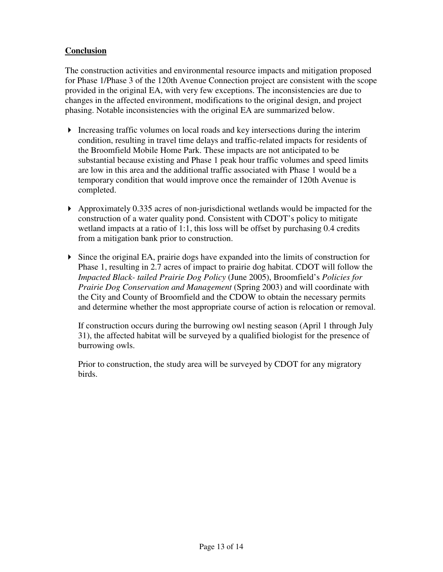## **Conclusion**

The construction activities and environmental resource impacts and mitigation proposed for Phase 1/Phase 3 of the 120th Avenue Connection project are consistent with the scope provided in the original EA, with very few exceptions. The inconsistencies are due to changes in the affected environment, modifications to the original design, and project phasing. Notable inconsistencies with the original EA are summarized below.

- Increasing traffic volumes on local roads and key intersections during the interim condition, resulting in travel time delays and traffic-related impacts for residents of the Broomfield Mobile Home Park. These impacts are not anticipated to be substantial because existing and Phase 1 peak hour traffic volumes and speed limits are low in this area and the additional traffic associated with Phase 1 would be a temporary condition that would improve once the remainder of 120th Avenue is completed.
- Approximately 0.335 acres of non-jurisdictional wetlands would be impacted for the construction of a water quality pond. Consistent with CDOT's policy to mitigate wetland impacts at a ratio of 1:1, this loss will be offset by purchasing 0.4 credits from a mitigation bank prior to construction.
- Since the original EA, prairie dogs have expanded into the limits of construction for Phase 1, resulting in 2.7 acres of impact to prairie dog habitat. CDOT will follow the *Impacted Black- tailed Prairie Dog Policy* (June 2005), Broomfield's *Policies for Prairie Dog Conservation and Management* (Spring 2003) and will coordinate with the City and County of Broomfield and the CDOW to obtain the necessary permits and determine whether the most appropriate course of action is relocation or removal.

If construction occurs during the burrowing owl nesting season (April 1 through July 31), the affected habitat will be surveyed by a qualified biologist for the presence of burrowing owls.

Prior to construction, the study area will be surveyed by CDOT for any migratory birds.